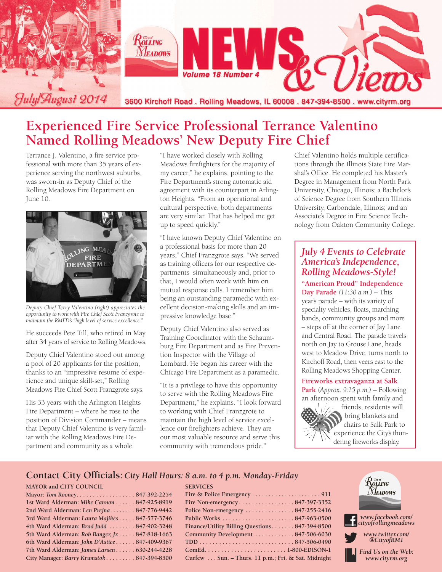

## **Experienced Fire Service Professional Terrance Valentino Named Rolling Meadows' New Deputy Fire Chief**

Terrance J. Valentino, a fire service professional with more than 35 years of experience serving the northwest suburbs, was sworn-in as Deputy Chief of the Rolling Meadows Fire Department on June 10.



*Deputy Chief Terry Valentino (right) appreciates the opportunity to work with Fire Chief Scott Franzgrote to maintain the RMFD's "high level of service excellence."*

He succeeds Pete Till, who retired in May after 34 years of service to Rolling Meadows.

Deputy Chief Valentino stood out among a pool of 20 applicants for the position, thanks to an "impressive resume of experience and unique skill-set," Rolling Meadows Fire Chief Scott Franzgrote says.

His 33 years with the Arlington Heights Fire Department – where he rose to the position of Division Commander – means that Deputy Chief Valentino is very familiar with the Rolling Meadows Fire Department and community as a whole.

"I have worked closely with Rolling Meadows firefighters for the majority of my career," he explains, pointing to the Fire Department's strong automatic aid agreement with its counterpart in Arlington Heights. "From an operational and cultural perspective, both departments are very similar. That has helped me get up to speed quickly."

"I have known Deputy Chief Valentino on a professional basis for more than 20 years," Chief Franzgrote says. "We served as training officers for our respective departments simultaneously and, prior to that, I would often work with him on mutual response calls. I remember him being an outstanding paramedic with excellent decision-making skills and an impressive knowledge base."

Deputy Chief Valentino also served as Training Coordinator with the Schaumburg Fire Department and as Fire Prevention Inspector with the Village of Lombard. He began his career with the Chicago Fire Department as a paramedic.

"It is a privilege to have this opportunity to serve with the Rolling Meadows Fire Department," he explains. "I look forward to working with Chief Franzgrote to maintain the high level of service excellence our firefighters achieve. They are our most valuable resource and serve this community with tremendous pride."

**SERVICES**

Chief Valentino holds multiple certifications through the Illinois State Fire Marshal's Office. He completed his Master's Degree in Management from North Park University, Chicago, Illinois; a Bachelor's of Science Degree from Southern Illinois University, Carbondale, Illinois; and an Associate's Degree in Fire Science Technology from Oakton Community College.

### *July 4 Events to Celebrate America's Independence, Rolling Meadows-Style!*

**"American Proud" Independence Day Parade** *(11:30 a.m.)* – This year's parade – with its variety of specialty vehicles, floats, marching bands, community groups and more – steps off at the corner of Jay Lane and Central Road. The parade travels north on Jay to Grouse Lane, heads west to Meadow Drive, turns north to Kirchoff Road, then veers east to the Rolling Meadows Shopping Center.

#### **Fireworks extravaganza at Salk**

**Park** *(Approx. 9:15 p.m.)* – Following an afternoon spent with family and



friends, residents will bring blankets and chairs to Salk Park to experience the City's thundering fireworks display.

#### **Contact City Officials:** *City Hall Hours: 8 a.m. to 4 p.m. Monday-Friday*

#### **MAYOR and CITY COUNCIL**

| Mayor: Tom Rooney847-392-2254                   |  |
|-------------------------------------------------|--|
| 1st Ward Alderman: Mike Cannon 847-925-8919     |  |
| 2nd Ward Alderman: Len Prejna 847-776-9442      |  |
| 3rd Ward Alderman: Laura Majikes 847-577-3746   |  |
| 4th Ward Alderman: Brad Judd  847-902-3248      |  |
| 5th Ward Alderman: Rob Banger, Jr. 847-818-1663 |  |
| 6th Ward Alderman: John D'Astice 847-409-9367   |  |
| 7th Ward Alderman: James Larsen 630-244-4228    |  |
| City Manager: Barry Krumstok 847-394-8500       |  |
|                                                 |  |

| Police Non-emergency $\dots\dots\dots\dots 847-255-2416$ |
|----------------------------------------------------------|
|                                                          |
| Finance/Utility Billing Questions 847-394-8500           |
| Community Development  847-506-6030                      |
|                                                          |
|                                                          |
| Curfew Sun. - Thurs. 11 p.m.; Fri. & Sat. Midnight       |

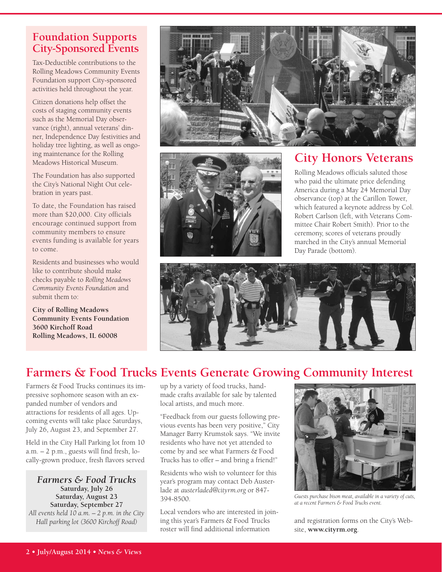## **Foundation Supports City-Sponsored Events**

Tax-Deductible contributions to the Rolling Meadows Community Events Foundation support City-sponsored activities held throughout the year.

Citizen donations help offset the costs of staging community events such as the Memorial Day observance (right), annual veterans' dinner, Independence Day festivities and holiday tree lighting, as well as ongoing maintenance for the Rolling Meadows Historical Museum.

The Foundation has also supported the City's National Night Out celebration in years past.

To date, the Foundation has raised more than \$20,000. City officials encourage continued support from community members to ensure events funding is available for years to come.

Residents and businesses who would like to contribute should make checks payable to *Rolling Meadows Community Events Foundation* and submit them to:

**City of Rolling Meadows Community Events Foundation 3600 Kirchoff Road Rolling Meadows, IL 60008**





## **City Honors Veterans**

Rolling Meadows officials saluted those who paid the ultimate price defending America during a May 24 Memorial Day observance (top) at the Carillon Tower, which featured a keynote address by Col. Robert Carlson (left, with Veterans Committee Chair Robert Smith). Prior to the ceremony, scores of veterans proudly marched in the City's annual Memorial Day Parade (bottom).



## **Farmers & Food Trucks Events Generate Growing Community Interest**

Farmers & Food Trucks continues its impressive sophomore season with an expanded number of vendors and attractions for residents of all ages. Upcoming events will take place Saturdays, July 26, August 23, and September 27.

Held in the City Hall Parking lot from 10 a.m. – 2 p.m., guests will find fresh, locally-grown produce, fresh flavors served

*Farmers & Food Trucks* **Saturday, July 26 Saturday, August 23 Saturday, September 27** *All events held 10 a.m. – 2 p.m. in the City Hall parking lot (3600 Kirchoff Road)*

up by a variety of food trucks, handmade crafts available for sale by talented local artists, and much more.

"Feedback from our guests following previous events has been very positive," City Manager Barry Krumstok says. "We invite residents who have not yet attended to come by and see what Farmers & Food Trucks has to offer – and bring a friend!"

Residents who wish to volunteer for this year's program may contact Deb Austerlade at *austerladed@cityrm.org* or 847- 394-8500.

Local vendors who are interested in joining this year's Farmers & Food Trucks roster will find additional information



*Guests purchase bison meat, available in a variety of cuts, at a recent Farmers & Food Trucks event.*

and registration forms on the City's Website, **www.cityrm.org**.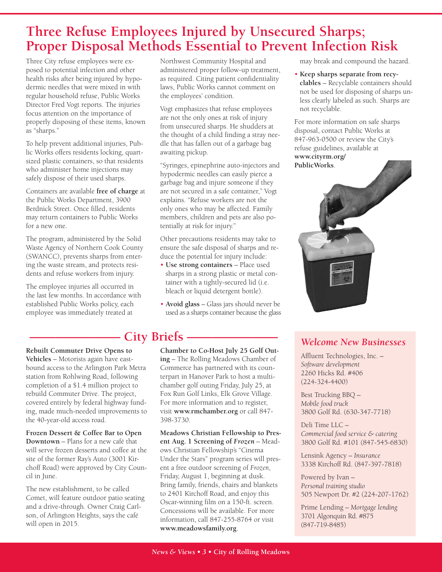# **Three Refuse Employees Injured by Unsecured Sharps; Proper Disposal Methods Essential to Prevent Infection Risk**

Three City refuse employees were exposed to potential infection and other health risks after being injured by hypodermic needles that were mixed in with regular household refuse, Public Works Director Fred Vogt reports. The injuries focus attention on the importance of properly disposing of these items, known as "sharps."

To help prevent additional injuries, Public Works offers residents locking, quartsized plastic containers, so that residents who administer home injections may safely dispose of their used sharps.

Containers are available **free of charge** at the Public Works Department, 3900 Berdnick Street. Once filled, residents may return containers to Public Works for a new one.

The program, administered by the Solid Waste Agency of Northern Cook County (SWANCC), prevents sharps from entering the waste stream, and protects residents and refuse workers from injury.

The employee injuries all occurred in the last few months. In accordance with established Public Works policy, each employee was immediately treated at

Northwest Community Hospital and administered proper follow-up treatment, as required. Citing patient confidentiality laws, Public Works cannot comment on the employees' condition.

Vogt emphasizes that refuse employees are not the only ones at risk of injury from unsecured sharps. He shudders at the thought of a child finding a stray needle that has fallen out of a garbage bag awaiting pickup.

"Syringes, epinephrine auto-injectors and hypodermic needles can easily pierce a garbage bag and injure someone if they are not secured in a safe container," Vogt explains. "Refuse workers are not the only ones who may be affected. Family members, children and pets are also potentially at risk for injury."

Other precautions residents may take to ensure the safe disposal of sharps and reduce the potential for injury include:

- **Use strong containers** Place used sharps in a strong plastic or metal container with a tightly-secured lid (i.e. bleach or liquid detergent bottle).
- **Avoid glass** Glass jars should never be used as a sharps container because the glass

# **City Briefs**  $\cdot$

**Rebuilt Commuter Drive Opens to Vehicles** – Motorists again have eastbound access to the Arlington Park Metra station from Rohlwing Road, following completion of a \$1.4 million project to rebuild Commuter Drive. The project, covered entirely by federal highway funding, made much-needed improvements to the 40-year-old access road.

**Frozen Dessert & Coffee Bar to Open Downtown** – Plans for a new café that will serve frozen desserts and coffee at the site of the former Ray's Auto (3001 Kirchoff Road) were approved by City Council in June.

The new establishment, to be called Comet, will feature outdoor patio seating and a drive-through. Owner Craig Carlson, of Arlington Heights, says the café will open in 2015.

**Chamber to Co-Host July 25 Golf Outing** – The Rolling Meadows Chamber of Commerce has partnered with its counterpart in Hanover Park to host a multichamber golf outing Friday, July 25, at Fox Run Golf Links, Elk Grove Village. For more information and to register, visit **www.rmchamber.org** or call 847- 398-3730.

**Meadows Christian Fellowship to Present Aug. 1 Screening of** *Frozen* – Meadows Christian Fellowship's "Cinema Under the Stars" program series will present a free outdoor screening of *Frozen*, Friday, August 1, beginning at dusk. Bring family, friends, chairs and blankets to 2401 Kirchoff Road, and enjoy this Oscar-winning film on a 150-ft. screen. Concessions will be available. For more information, call 847-255-8764 or visit **www.meadowsfamily.org**.

may break and compound the hazard.

• **Keep sharps separate from recyclables** – Recyclable containers should not be used for disposing of sharps unless clearly labeled as such. Sharps are not recyclable.

For more information on safe sharps disposal, contact Public Works at 847-963-0500 or review the City's refuse guidelines, available at **www.cityrm.org/ PublicWorks**.



## *Welcome New Businesses*

Affluent Technologies, Inc. – *Software development* 2260 Hicks Rd. #406 (224-324-4400)

Best Trucking BBQ – *Mobile food truck* 3800 Golf Rd. (630-347-7718)

Deli Time LLC – *Commercial food service & catering* 3800 Golf Rd. #101 (847-545-6830)

Lensink Agency – *Insurance* 3338 Kirchoff Rd. (847-397-7818)

Powered by Ivan – *Personal training studio* 505 Newport Dr. #2 (224-207-1762)

Prime Lending – *Mortgage lending* 3701 Algonquin Rd. #875 (847-719-8485)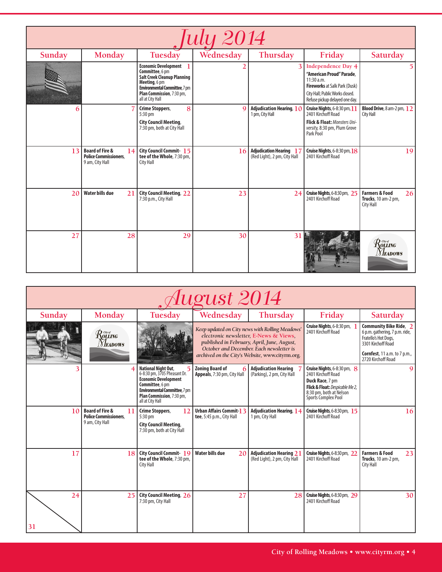| <i>July 2014</i> |                                                                                     |                                                                                                                                                                                                |           |                                                                |                                                                                                                                                                                  |                                                                                                                                                          |  |  |
|------------------|-------------------------------------------------------------------------------------|------------------------------------------------------------------------------------------------------------------------------------------------------------------------------------------------|-----------|----------------------------------------------------------------|----------------------------------------------------------------------------------------------------------------------------------------------------------------------------------|----------------------------------------------------------------------------------------------------------------------------------------------------------|--|--|
| Sunday           | Monday                                                                              | Tuesday                                                                                                                                                                                        | Wednesday | Thursday                                                       | Friday                                                                                                                                                                           | Saturday                                                                                                                                                 |  |  |
|                  |                                                                                     | <b>Economic Development</b><br>Committee, 6 pm<br><b>Salt Creek Cleanup Planning</b><br>Meeting, 6 pm<br><b>Environmental Committee, 7 pm</b><br>Plan Commission, 7:30 pm,<br>all at City Hall |           | 3                                                              | <b>Independence Day 4</b><br>"American Proud" Parade,<br>11:30 a.m.<br><b>Fireworks at Salk Park (Dusk)</b><br>City Hall; Public Works closed.<br>Refuse pickup delayed one day. |                                                                                                                                                          |  |  |
| 6                |                                                                                     | 8<br>Crime Stoppers,<br>5:30 pm<br><b>City Council Meeting,</b><br>7:30 pm, both at City Hall                                                                                                  | $\Omega$  | Adjudication Hearing, 10<br>1 pm, City Hall                    | <b>Cruise Nights</b> , 6-8:30 pm, 11<br>2401 Kirchoff Road<br><b>Flick &amp; Float: Monsters Uni-</b><br>versity, 8:30 pm, Plum Grove<br>Park Pool                               | Blood Drive, 8 am-2 pm, 12<br>City Hall                                                                                                                  |  |  |
| 13               | <b>Board of Fire &amp;</b><br>14<br><b>Police Commissioners.</b><br>9 am, City Hall | City Council Commit-15<br>tee of the Whole, 7:30 pm,<br><b>City Hall</b>                                                                                                                       | 16        | <b>Adjudication Hearing 17</b><br>(Red Light), 2 pm, City Hall | <b>Cruise Nights</b> , 6-8:30 pm, 18<br>2401 Kirchoff Road                                                                                                                       | 19                                                                                                                                                       |  |  |
| 20               | <b>Water bills due</b><br>21                                                        | <b>City Council Meeting, 22</b><br>7:30 p.m., City Hall                                                                                                                                        | 23        | 24                                                             | Cruise Nights, 6-8:30 pm, 25<br>2401 Kirchoff Road                                                                                                                               | <b>Farmers &amp; Food</b><br>26<br>Trucks, 10 am-2 pm,<br>City Hall                                                                                      |  |  |
| 27               | 28                                                                                  | 29                                                                                                                                                                                             | 30        | 31                                                             |                                                                                                                                                                                  | $\mathcal{R}^{\tiny{{\scriptscriptstyle{{G\!\mathit{w}}}{\scriptscriptstyle{{\mathit{w}}}}}}}_{{\scriptscriptstyle{\mathit{OLLING}}}}$<br><b>Neadows</b> |  |  |

| August 2014 |                                                                                     |                                                                                                                                                                                                       |                                                                                                                                                                                                                                         |                                                                |                                                                                                                                                                  |                                                                                                                                                                      |  |  |  |
|-------------|-------------------------------------------------------------------------------------|-------------------------------------------------------------------------------------------------------------------------------------------------------------------------------------------------------|-----------------------------------------------------------------------------------------------------------------------------------------------------------------------------------------------------------------------------------------|----------------------------------------------------------------|------------------------------------------------------------------------------------------------------------------------------------------------------------------|----------------------------------------------------------------------------------------------------------------------------------------------------------------------|--|--|--|
| Sunday      | Monday                                                                              | Tuesday                                                                                                                                                                                               | Wednesday                                                                                                                                                                                                                               | Thursday                                                       | Friday                                                                                                                                                           | Saturday                                                                                                                                                             |  |  |  |
|             | Routing<br><b>NEADOWS</b>                                                           |                                                                                                                                                                                                       | Keep updated on City news with Rolling Meadows'<br>electronic newsletter, E-News & Views,<br>published in February, April, June, August,<br>October and December. Each newsletter is<br>archived on the City's Website, www.cityrm.org. |                                                                | Cruise Nights, 6-8:30 pm,<br>2401 Kirchoff Road                                                                                                                  | Community Bike Ride, 2<br>6 p.m. gathering, 7 p.m. ride,<br>Fratello's Hot Dogs,<br>3301 Kirchoff Road<br><b>Cornfest</b> , 11 a.m. to 7 p.m.,<br>2720 Kirchoff Road |  |  |  |
|             |                                                                                     | <b>National Night Out.</b><br>6-8:30 pm, 3705 Pheasant Dr.<br><b>Economic Development</b><br>Committee, 6 pm<br><b>Environmental Committee, 7 pm</b><br>Plan Commission, 7:30 pm,<br>all at City Hall | <b>Zoning Board of</b><br>Appeals, 7:30 pm, City Hall                                                                                                                                                                                   | <b>Adjudication Hearing</b><br>(Parking), 2 pm, City Hall      | Cruise Nights, 6-8:30 pm, 8<br>2401 Kirchoff Road<br>Duck Race, 7 pm<br>Flick & Float: Despicable Me 2,<br>8:30 pm, both at Nelson<br><b>Sports Complex Pool</b> | 9                                                                                                                                                                    |  |  |  |
| 10          | <b>Board of Fire &amp;</b><br>11<br><b>Police Commissioners.</b><br>9 am, City Hall | Crime Stoppers,<br>12<br>$5:30$ pm<br><b>City Council Meeting,</b><br>7:30 pm, both at City Hall                                                                                                      | Urban Affairs Commit-13<br>tee, 5:45 p.m., City Hall                                                                                                                                                                                    | <b>Adjudication Hearing, 14</b><br>1 pm, City Hall             | <b>Cruise Nights</b> , 6-8:30 pm, 15<br>2401 Kirchoff Road                                                                                                       | 16                                                                                                                                                                   |  |  |  |
| 17          | 18                                                                                  | <b>City Council Commit-19</b><br>tee of the Whole, 7:30 pm,<br>City Hall                                                                                                                              | <b>Water bills due</b><br>20                                                                                                                                                                                                            | <b>Adjudication Hearing 21</b><br>(Red Light), 2 pm, City Hall | <b>Cruise Nights</b> , 6-8:30 pm, 22<br>2401 Kirchoff Road                                                                                                       | <b>Farmers &amp; Food</b><br>23<br>Trucks, 10 am-2 pm,<br>City Hall                                                                                                  |  |  |  |
| 24<br>31    | 25                                                                                  | City Council Meeting, 26<br>7:30 pm, City Hall                                                                                                                                                        | 27                                                                                                                                                                                                                                      | 28                                                             | Cruise Nights, 6-8:30 pm, 29<br>2401 Kirchoff Road                                                                                                               | 30 <sup>1</sup>                                                                                                                                                      |  |  |  |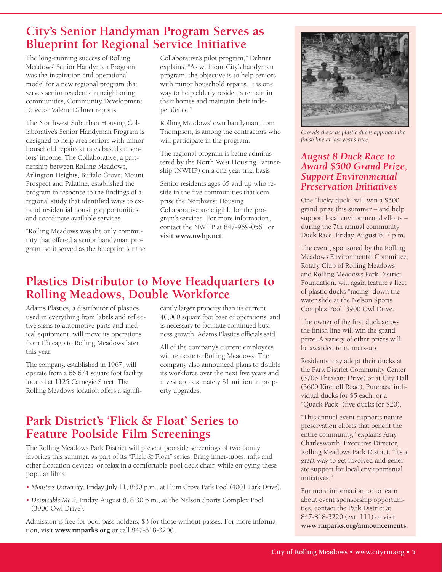## **City's Senior Handyman Program Serves as Blueprint for Regional Service Initiative**

The long-running success of Rolling Meadows' Senior Handyman Program was the inspiration and operational model for a new regional program that serves senior residents in neighboring communities, Community Development Director Valerie Dehner reports.

The Northwest Suburban Housing Collaborative's Senior Handyman Program is designed to help area seniors with minor household repairs at rates based on seniors' income. The Collaborative, a partnership between Rolling Meadows, Arlington Heights, Buffalo Grove, Mount Prospect and Palatine, established the program in response to the findings of a regional study that identified ways to expand residential housing opportunities and coordinate available services.

"Rolling Meadows was the only community that offered a senior handyman program, so it served as the blueprint for the Collaborative's pilot program," Dehner explains. "As with our City's handyman program, the objective is to help seniors with minor household repairs. It is one way to help elderly residents remain in their homes and maintain their independence."

Rolling Meadows' own handyman, Tom Thompson, is among the contractors who will participate in the program.

The regional program is being administered by the North West Housing Partnership (NWHP) on a one year trial basis.

Senior residents ages 65 and up who reside in the five communities that comprise the Northwest Housing Collaborative are eligible for the program's services. For more information, contact the NWHP at 847-969-0561 or **visit www.nwhp.net**.

## **Plastics Distributor to Move Headquarters to Rolling Meadows, Double Workforce**

Adams Plastics, a distributor of plastics used in everything from labels and reflective signs to automotive parts and medical equipment, will move its operations from Chicago to Rolling Meadows later this year.

The company, established in 1967, will operate from a 66,674 square foot facility located at 1125 Carnegie Street. The Rolling Meadows location offers a signifi-

cantly larger property than its current 40,000 square foot base of operations, and is necessary to facilitate continued business growth, Adams Plastics officials said.

All of the company's current employees will relocate to Rolling Meadows. The company also announced plans to double its workforce over the next five years and invest approximately \$1 million in property upgrades.

## **Park District's 'Flick & Float' Series to Feature Poolside Film Screenings**

The Rolling Meadows Park District will present poolside screenings of two family favorites this summer, as part of its "Flick & Float" series. Bring inner-tubes, rafts and other floatation devices, or relax in a comfortable pool deck chair, while enjoying these popular films:

- *Monsters University*, Friday, July 11, 8:30 p.m., at Plum Grove Park Pool (4001 Park Drive).
- *Despicable Me 2,* Friday, August 8, 8:30 p.m., at the Nelson Sports Complex Pool (3900 Owl Drive).

Admission is free for pool pass holders; \$3 for those without passes. For more information, visit **www.rmparks.org** or call 847-818-3200.



*Crowds cheer as plastic ducks approach the finish line at last year's race.*

#### *August 8 Duck Race to Award \$500 Grand Prize, Support Environmental Preservation Initiatives*

One "lucky duck" will win a \$500 grand prize this summer – and help support local environmental efforts – during the 7th annual community Duck Race, Friday, August 8, 7 p.m.

The event, sponsored by the Rolling Meadows Environmental Committee, Rotary Club of Rolling Meadows, and Rolling Meadows Park District Foundation, will again feature a fleet of plastic ducks "racing" down the water slide at the Nelson Sports Complex Pool, 3900 Owl Drive.

The owner of the first duck across the finish line will win the grand prize. A variety of other prizes will be awarded to runners-up.

Residents may adopt their ducks at the Park District Community Center (3705 Pheasant Drive) or at City Hall (3600 Kirchoff Road). Purchase individual ducks for \$5 each, or a "Quack Pack" (five ducks for \$20).

"This annual event supports nature preservation efforts that benefit the entire community," explains Amy Charlesworth, Executive Director, Rolling Meadows Park District. "It's a great way to get involved and generate support for local environmental initiatives."

For more information, or to learn about event sponsorship opportunities, contact the Park District at 847-818-3220 (ext. 111) or visit **www.rmparks.org/announcements**.